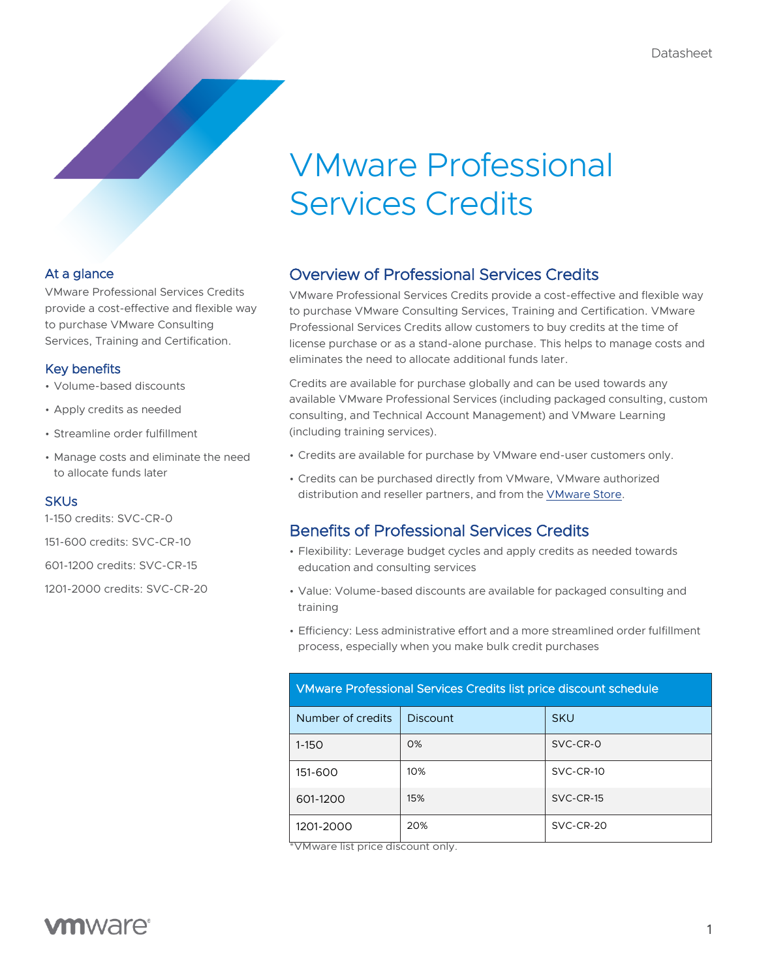# VMware Professional Services Credits

### At a glance

VMware Professional Services Credits provide a cost-effective and flexible way to purchase VMware Consulting Services, Training and Certification.

### Key benefits

- Volume-based discounts
- Apply credits as needed
- Streamline order fulfillment
- Manage costs and eliminate the need to allocate funds later

### **SKUs**

1-150 credits: SVC-CR-0

151-600 credits: SVC-CR-10

601-1200 credits: SVC-CR-15

1201-2000 credits: SVC-CR-20

# Overview of Professional Services Credits

VMware Professional Services Credits provide a cost-effective and flexible way to purchase VMware Consulting Services, Training and Certification. VMware Professional Services Credits allow customers to buy credits at the time of license purchase or as a stand-alone purchase. This helps to manage costs and eliminates the need to allocate additional funds later.

Credits are available for purchase globally and can be used towards any available VMware Professional Services (including packaged consulting, custom consulting, and Technical Account Management) and VMware Learning (including training services).

- Credits are available for purchase by VMware end-user customers only.
- Credits can be purchased directly from VMware, VMware authorized distribution and reseller partners, and from the **[VMware](https://store-us.vmware.com/) Store**.

# Benefits of Professional Services Credits

- Flexibility: Leverage budget cycles and apply credits as needed towards education and consulting services
- Value: Volume-based discounts are available for packaged consulting and training
- Efficiency: Less administrative effort and a more streamlined order fulfillment process, especially when you make bulk credit purchases

| VMware Professional Services Credits list price discount schedule |          |             |
|-------------------------------------------------------------------|----------|-------------|
| Number of credits                                                 | Discount | <b>SKU</b>  |
| $1 - 150$                                                         | $O\%$    | $SVC-CR-0$  |
| 151-600                                                           | 10%      | $SVC-CR-10$ |
| 601-1200                                                          | 15%      | $SVC-CR-15$ |
| 1201-2000                                                         | 20%      | $SVC-CR-20$ |

\*VMware list price discount only.

# **vm**ware<sup>®</sup>